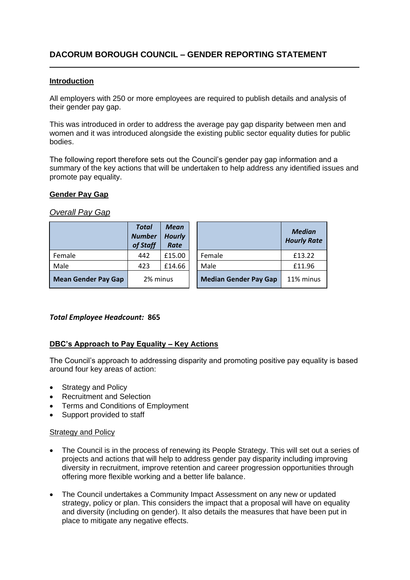## **Introduction**

All employers with 250 or more employees are required to publish details and analysis of their gender pay gap.

This was introduced in order to address the average pay gap disparity between men and women and it was introduced alongside the existing public sector equality duties for public bodies.

The following report therefore sets out the Council's gender pay gap information and a summary of the key actions that will be undertaken to help address any identified issues and promote pay equality.

## **Gender Pay Gap**

## *Overall Pay Gap*

|                            | <b>Total</b><br><b>Number</b><br>of Staff | <b>Mean</b><br><b>Hourly</b><br><b>Rate</b> |                              | <b>Median</b><br><b>Hourly Rate</b> |
|----------------------------|-------------------------------------------|---------------------------------------------|------------------------------|-------------------------------------|
| Female                     | 442                                       | £15.00                                      | Female                       | £13.22                              |
| Male                       | 423                                       | £14.66                                      | Male                         | £11.96                              |
| <b>Mean Gender Pay Gap</b> | 2% minus                                  |                                             | <b>Median Gender Pay Gap</b> | 11% minus                           |

### *Total Employee Headcount:* **865**

# **DBC's Approach to Pay Equality – Key Actions**

The Council's approach to addressing disparity and promoting positive pay equality is based around four key areas of action:

- Strategy and Policy
- Recruitment and Selection
- Terms and Conditions of Employment
- Support provided to staff

### Strategy and Policy

- The Council is in the process of renewing its People Strategy. This will set out a series of projects and actions that will help to address gender pay disparity including improving diversity in recruitment, improve retention and career progression opportunities through offering more flexible working and a better life balance.
- The Council undertakes a Community Impact Assessment on any new or updated strategy, policy or plan. This considers the impact that a proposal will have on equality and diversity (including on gender). It also details the measures that have been put in place to mitigate any negative effects.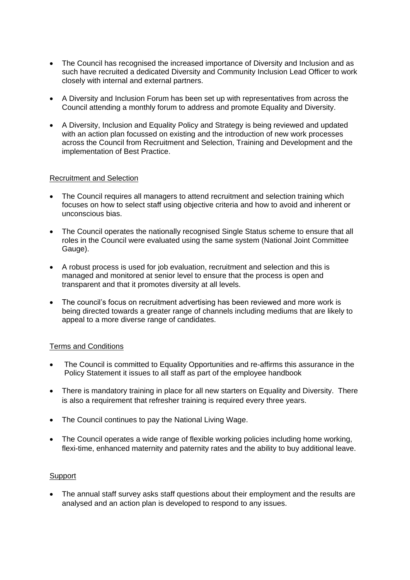- The Council has recognised the increased importance of Diversity and Inclusion and as such have recruited a dedicated Diversity and Community Inclusion Lead Officer to work closely with internal and external partners.
- A Diversity and Inclusion Forum has been set up with representatives from across the Council attending a monthly forum to address and promote Equality and Diversity.
- A Diversity, Inclusion and Equality Policy and Strategy is being reviewed and updated with an action plan focussed on existing and the introduction of new work processes across the Council from Recruitment and Selection, Training and Development and the implementation of Best Practice.

## Recruitment and Selection

- The Council requires all managers to attend recruitment and selection training which focuses on how to select staff using objective criteria and how to avoid and inherent or unconscious bias.
- The Council operates the nationally recognised Single Status scheme to ensure that all roles in the Council were evaluated using the same system (National Joint Committee Gauge).
- A robust process is used for job evaluation, recruitment and selection and this is managed and monitored at senior level to ensure that the process is open and transparent and that it promotes diversity at all levels.
- The council's focus on recruitment advertising has been reviewed and more work is being directed towards a greater range of channels including mediums that are likely to appeal to a more diverse range of candidates.

# Terms and Conditions

- The Council is committed to Equality Opportunities and re-affirms this assurance in the Policy Statement it issues to all staff as part of the employee handbook
- There is mandatory training in place for all new starters on Equality and Diversity. There is also a requirement that refresher training is required every three years.
- The Council continues to pay the National Living Wage.
- The Council operates a wide range of flexible working policies including home working, flexi-time, enhanced maternity and paternity rates and the ability to buy additional leave.

### **Support**

• The annual staff survey asks staff questions about their employment and the results are analysed and an action plan is developed to respond to any issues.